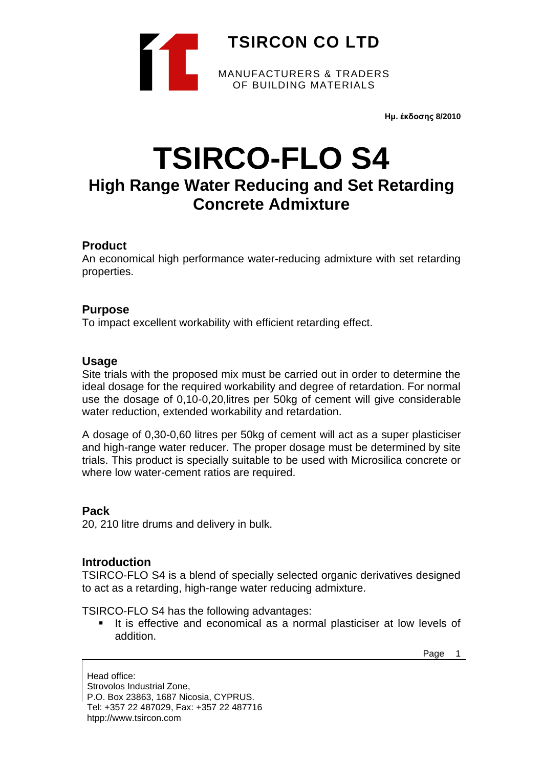

**Ημ. έκδοσης 8/2010**

# **TSIRCO-FLO S4**

# **High Range Water Reducing and Set Retarding Concrete Admixture**

# **Product**

An economical high performance water-reducing admixture with set retarding properties.

# **Purpose**

To impact excellent workability with efficient retarding effect.

### **Usage**

Site trials with the proposed mix must be carried out in order to determine the ideal dosage for the required workability and degree of retardation. For normal use the dosage of 0,10-0,20,litres per 50kg of cement will give considerable water reduction, extended workability and retardation.

A dosage of 0,30-0,60 litres per 50kg of cement will act as a super plasticiser and high-range water reducer. The proper dosage must be determined by site trials. This product is specially suitable to be used with Microsilica concrete or where low water-cement ratios are required.

# **Pack**

20, 210 litre drums and delivery in bulk.

### **Introduction**

TSIRCO-FLO S4 is a blend of specially selected organic derivatives designed to act as a retarding, high-range water reducing admixture.

TSIRCO-FLO S4 has the following advantages:

It is effective and economical as a normal plasticiser at low levels of addition.

Page 1

Head office: Strovolos Industrial Zone, P.O. Box 23863, 1687 Nicosia, CYPRUS. Tel: +357 22 487029, Fax: +357 22 487716 htpp://www.tsircon.com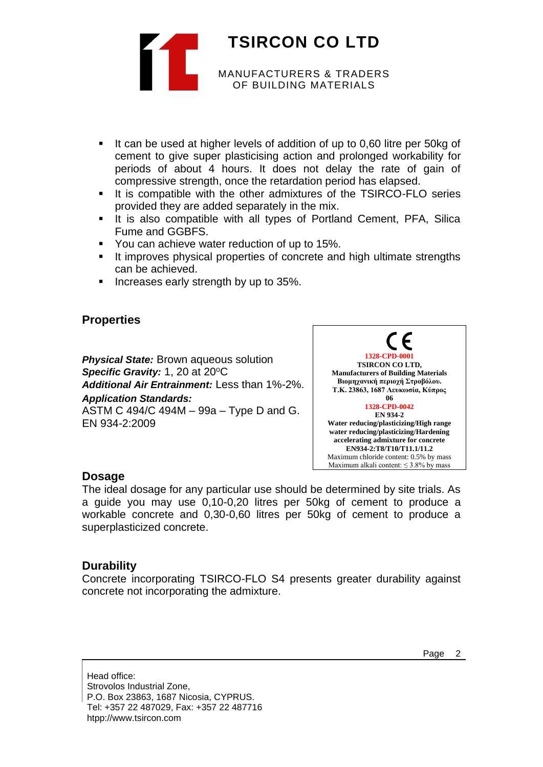

- It can be used at higher levels of addition of up to 0,60 litre per 50kg of cement to give super plasticising action and prolonged workability for periods of about 4 hours. It does not delay the rate of gain of compressive strength, once the retardation period has elapsed.
- It is compatible with the other admixtures of the TSIRCO-FLO series provided they are added separately in the mix.
- It is also compatible with all types of Portland Cement, PFA, Silica Fume and GGBFS.
- You can achieve water reduction of up to 15%.
- It improves physical properties of concrete and high ultimate strengths can be achieved.
- Increases early strength by up to 35%.

# **Properties**

*Physical State:* Brown aqueous solution **Specific Gravity: 1, 20 at 20°C** *Additional Air Entrainment:* Less than 1%-2%. *Application Standards:* ASTM C 494/C 494M – 99a – Type D and G. EN 934-2:2009



# **Dosage**

The ideal dosage for any particular use should be determined by site trials. As a guide you may use 0,10-0,20 litres per 50kg of cement to produce a workable concrete and 0,30-0,60 litres per 50kg of cement to produce a superplasticized concrete.

# **Durability**

Concrete incorporating TSIRCO-FLO S4 presents greater durability against concrete not incorporating the admixture.

Head office: Strovolos Industrial Zone, P.O. Box 23863, 1687 Nicosia, CYPRUS. Tel: +357 22 487029, Fax: +357 22 487716 htpp://www.tsircon.com

Page 2